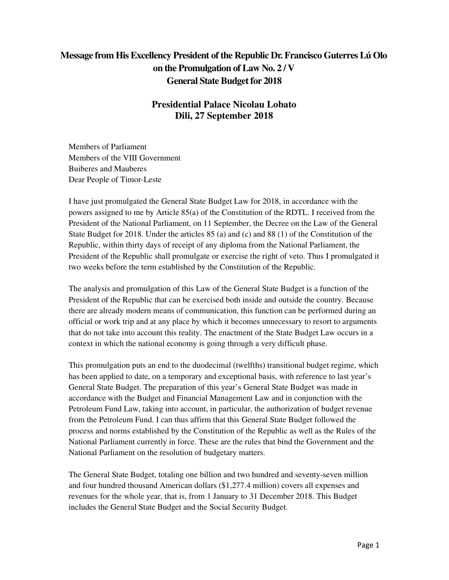## **Message from His Excellency President of the Republic Dr. Francisco Guterres Lú Olo on the Promulgation of Law No. 2 / V General State Budget for 2018**

## **Presidential Palace Nicolau Lobato Dili, 27 September 2018**

Members of Parliament Members of the VIII Government Buiberes and Mauberes Dear People of Timor-Leste

I have just promulgated the General State Budget Law for 2018, in accordance with the powers assigned to me by Article 85(a) of the Constitution of the RDTL. I received from the President of the National Parliament, on 11 September, the Decree on the Law of the General State Budget for 2018. Under the articles 85 (a) and (c) and 88 (1) of the Constitution of the Republic, within thirty days of receipt of any diploma from the National Parliament, the President of the Republic shall promulgate or exercise the right of veto. Thus I promulgated it two weeks before the term established by the Constitution of the Republic.

The analysis and promulgation of this Law of the General State Budget is a function of the President of the Republic that can be exercised both inside and outside the country. Because there are already modern means of communication, this function can be performed during an official or work trip and at any place by which it becomes unnecessary to resort to arguments that do not take into account this reality. The enactment of the State Budget Law occurs in a context in which the national economy is going through a very difficult phase.

This promulgation puts an end to the duodecimal (twelfths) transitional budget regime, which has been applied to date, on a temporary and exceptional basis, with reference to last year's General State Budget. The preparation of this year's General State Budget was made in accordance with the Budget and Financial Management Law and in conjunction with the Petroleum Fund Law, taking into account, in particular, the authorization of budget revenue from the Petroleum Fund. I can thus affirm that this General State Budget followed the process and norms established by the Constitution of the Republic as well as the Rules of the National Parliament currently in force. These are the rules that bind the Government and the National Parliament on the resolution of budgetary matters.

The General State Budget, totaling one billion and two hundred and seventy-seven million and four hundred thousand American dollars (\$1,277.4 million) covers all expenses and revenues for the whole year, that is, from 1 January to 31 December 2018. This Budget includes the General State Budget and the Social Security Budget.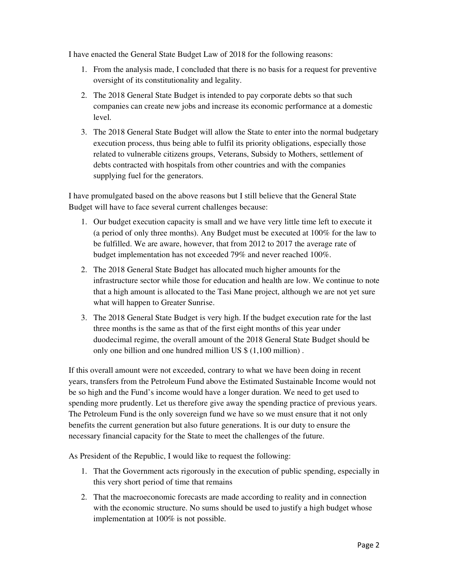I have enacted the General State Budget Law of 2018 for the following reasons:

- 1. From the analysis made, I concluded that there is no basis for a request for preventive oversight of its constitutionality and legality.
- 2. The 2018 General State Budget is intended to pay corporate debts so that such companies can create new jobs and increase its economic performance at a domestic level.
- 3. The 2018 General State Budget will allow the State to enter into the normal budgetary execution process, thus being able to fulfil its priority obligations, especially those related to vulnerable citizens groups, Veterans, Subsidy to Mothers, settlement of debts contracted with hospitals from other countries and with the companies supplying fuel for the generators.

I have promulgated based on the above reasons but I still believe that the General State Budget will have to face several current challenges because:

- 1. Our budget execution capacity is small and we have very little time left to execute it (a period of only three months). Any Budget must be executed at 100% for the law to be fulfilled. We are aware, however, that from 2012 to 2017 the average rate of budget implementation has not exceeded 79% and never reached 100%.
- 2. The 2018 General State Budget has allocated much higher amounts for the infrastructure sector while those for education and health are low. We continue to note that a high amount is allocated to the Tasi Mane project, although we are not yet sure what will happen to Greater Sunrise.
- 3. The 2018 General State Budget is very high. If the budget execution rate for the last three months is the same as that of the first eight months of this year under duodecimal regime, the overall amount of the 2018 General State Budget should be only one billion and one hundred million US \$ (1,100 million) .

If this overall amount were not exceeded, contrary to what we have been doing in recent years, transfers from the Petroleum Fund above the Estimated Sustainable Income would not be so high and the Fund's income would have a longer duration. We need to get used to spending more prudently. Let us therefore give away the spending practice of previous years. The Petroleum Fund is the only sovereign fund we have so we must ensure that it not only benefits the current generation but also future generations. It is our duty to ensure the necessary financial capacity for the State to meet the challenges of the future.

As President of the Republic, I would like to request the following:

- 1. That the Government acts rigorously in the execution of public spending, especially in this very short period of time that remains
- 2. That the macroeconomic forecasts are made according to reality and in connection with the economic structure. No sums should be used to justify a high budget whose implementation at 100% is not possible.